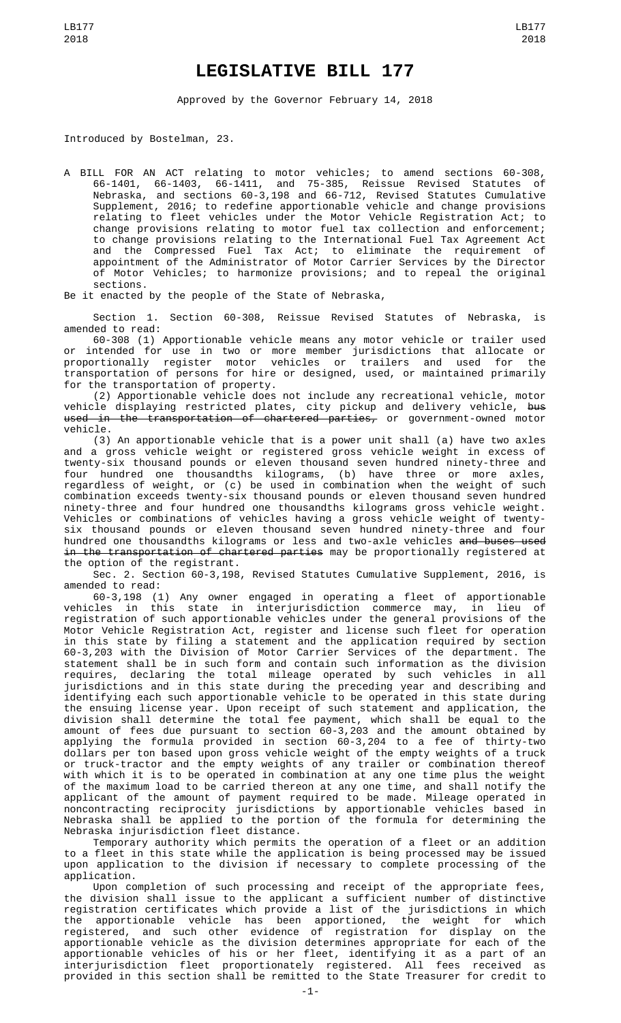## **LEGISLATIVE BILL 177**

Approved by the Governor February 14, 2018

Introduced by Bostelman, 23.

A BILL FOR AN ACT relating to motor vehicles; to amend sections 60-308, 66-1401, 66-1403, 66-1411, and 75-385, Reissue Revised Statutes of Nebraska, and sections 60-3,198 and 66-712, Revised Statutes Cumulative Supplement, 2016; to redefine apportionable vehicle and change provisions relating to fleet vehicles under the Motor Vehicle Registration Act; to change provisions relating to motor fuel tax collection and enforcement; to change provisions relating to the International Fuel Tax Agreement Act and the Compressed Fuel Tax Act; to eliminate the requirement of appointment of the Administrator of Motor Carrier Services by the Director of Motor Vehicles; to harmonize provisions; and to repeal the original sections.

Be it enacted by the people of the State of Nebraska,

Section 1. Section 60-308, Reissue Revised Statutes of Nebraska, is amended to read:

60-308 (1) Apportionable vehicle means any motor vehicle or trailer used or intended for use in two or more member jurisdictions that allocate or proportionally register motor vehicles or trailers and used for the transportation of persons for hire or designed, used, or maintained primarily for the transportation of property.

(2) Apportionable vehicle does not include any recreational vehicle, motor vehicle displaying restricted plates, city pickup and delivery vehicle, <del>bus</del> <del>used in the transportation of chartered parties,</del> or government-owned motor vehicle.

(3) An apportionable vehicle that is a power unit shall (a) have two axles and a gross vehicle weight or registered gross vehicle weight in excess of twenty-six thousand pounds or eleven thousand seven hundred ninety-three and four hundred one thousandths kilograms, (b) have three or more axles, regardless of weight, or (c) be used in combination when the weight of such combination exceeds twenty-six thousand pounds or eleven thousand seven hundred ninety-three and four hundred one thousandths kilograms gross vehicle weight. Vehicles or combinations of vehicles having a gross vehicle weight of twentysix thousand pounds or eleven thousand seven hundred ninety-three and four hundred one thousandths kilograms or less and two-axle vehicles <del>and buses used</del> in the transportation of chartered parties may be proportionally registered at the option of the registrant.

Sec. 2. Section 60-3,198, Revised Statutes Cumulative Supplement, 2016, is amended to read:

60-3,198 (1) Any owner engaged in operating a fleet of apportionable vehicles in this state in interjurisdiction commerce may, in lieu of registration of such apportionable vehicles under the general provisions of the Motor Vehicle Registration Act, register and license such fleet for operation in this state by filing a statement and the application required by section 60-3,203 with the Division of Motor Carrier Services of the department. The statement shall be in such form and contain such information as the division requires, declaring the total mileage operated by such vehicles in all jurisdictions and in this state during the preceding year and describing and identifying each such apportionable vehicle to be operated in this state during the ensuing license year. Upon receipt of such statement and application, the division shall determine the total fee payment, which shall be equal to the amount of fees due pursuant to section 60-3,203 and the amount obtained by applying the formula provided in section 60-3,204 to a fee of thirty-two dollars per ton based upon gross vehicle weight of the empty weights of a truck or truck-tractor and the empty weights of any trailer or combination thereof with which it is to be operated in combination at any one time plus the weight of the maximum load to be carried thereon at any one time, and shall notify the applicant of the amount of payment required to be made. Mileage operated in noncontracting reciprocity jurisdictions by apportionable vehicles based in Nebraska shall be applied to the portion of the formula for determining the Nebraska injurisdiction fleet distance.

Temporary authority which permits the operation of a fleet or an addition to a fleet in this state while the application is being processed may be issued upon application to the division if necessary to complete processing of the application.

Upon completion of such processing and receipt of the appropriate fees, the division shall issue to the applicant a sufficient number of distinctive registration certificates which provide a list of the jurisdictions in which the apportionable vehicle has been apportioned, the weight for which registered, and such other evidence of registration for display on the apportionable vehicle as the division determines appropriate for each of the apportionable vehicles of his or her fleet, identifying it as a part of an interjurisdiction fleet proportionately registered. All fees received as provided in this section shall be remitted to the State Treasurer for credit to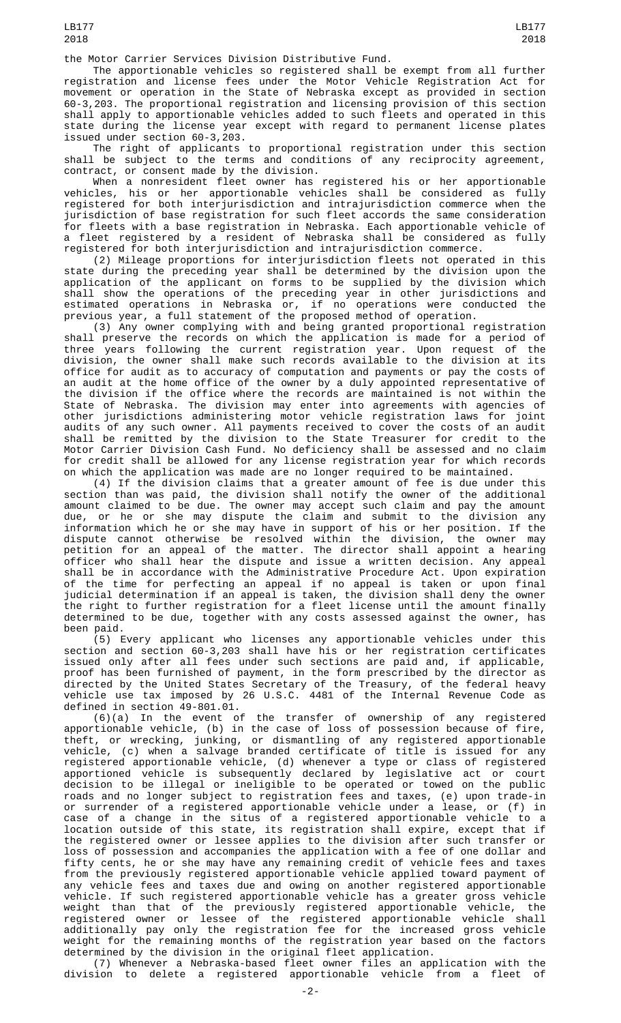the Motor Carrier Services Division Distributive Fund.

The apportionable vehicles so registered shall be exempt from all further registration and license fees under the Motor Vehicle Registration Act for movement or operation in the State of Nebraska except as provided in section 60-3,203. The proportional registration and licensing provision of this section shall apply to apportionable vehicles added to such fleets and operated in this state during the license year except with regard to permanent license plates issued under section 60-3,203.

The right of applicants to proportional registration under this section shall be subject to the terms and conditions of any reciprocity agreement, contract, or consent made by the division.

When a nonresident fleet owner has registered his or her apportionable vehicles, his or her apportionable vehicles shall be considered as fully registered for both interjurisdiction and intrajurisdiction commerce when the jurisdiction of base registration for such fleet accords the same consideration for fleets with a base registration in Nebraska. Each apportionable vehicle of a fleet registered by a resident of Nebraska shall be considered as fully registered for both interjurisdiction and intrajurisdiction commerce.

(2) Mileage proportions for interjurisdiction fleets not operated in this state during the preceding year shall be determined by the division upon the application of the applicant on forms to be supplied by the division which shall show the operations of the preceding year in other jurisdictions and estimated operations in Nebraska or, if no operations were conducted the previous year, a full statement of the proposed method of operation.

(3) Any owner complying with and being granted proportional registration shall preserve the records on which the application is made for a period of three years following the current registration year. Upon request of the division, the owner shall make such records available to the division at its office for audit as to accuracy of computation and payments or pay the costs of an audit at the home office of the owner by a duly appointed representative of the division if the office where the records are maintained is not within the State of Nebraska. The division may enter into agreements with agencies of other jurisdictions administering motor vehicle registration laws for joint audits of any such owner. All payments received to cover the costs of an audit shall be remitted by the division to the State Treasurer for credit to the Motor Carrier Division Cash Fund. No deficiency shall be assessed and no claim for credit shall be allowed for any license registration year for which records on which the application was made are no longer required to be maintained.

(4) If the division claims that a greater amount of fee is due under this section than was paid, the division shall notify the owner of the additional amount claimed to be due. The owner may accept such claim and pay the amount due, or he or she may dispute the claim and submit to the division any information which he or she may have in support of his or her position. If the dispute cannot otherwise be resolved within the division, the owner may petition for an appeal of the matter. The director shall appoint a hearing officer who shall hear the dispute and issue a written decision. Any appeal shall be in accordance with the Administrative Procedure Act. Upon expiration of the time for perfecting an appeal if no appeal is taken or upon final judicial determination if an appeal is taken, the division shall deny the owner the right to further registration for a fleet license until the amount finally determined to be due, together with any costs assessed against the owner, has been paid.

(5) Every applicant who licenses any apportionable vehicles under this section and section 60-3,203 shall have his or her registration certificates issued only after all fees under such sections are paid and, if applicable, proof has been furnished of payment, in the form prescribed by the director as directed by the United States Secretary of the Treasury, of the federal heavy vehicle use tax imposed by 26 U.S.C. 4481 of the Internal Revenue Code as defined in section 49-801.01.

(6)(a) In the event of the transfer of ownership of any registered apportionable vehicle, (b) in the case of loss of possession because of fire, theft, or wrecking, junking, or dismantling of any registered apportionable vehicle, (c) when a salvage branded certificate of title is issued for any registered apportionable vehicle, (d) whenever a type or class of registered apportioned vehicle is subsequently declared by legislative act or court decision to be illegal or ineligible to be operated or towed on the public roads and no longer subject to registration fees and taxes, (e) upon trade-in or surrender of a registered apportionable vehicle under a lease, or (f) in case of a change in the situs of a registered apportionable vehicle to a location outside of this state, its registration shall expire, except that if the registered owner or lessee applies to the division after such transfer or loss of possession and accompanies the application with a fee of one dollar and fifty cents, he or she may have any remaining credit of vehicle fees and taxes from the previously registered apportionable vehicle applied toward payment of any vehicle fees and taxes due and owing on another registered apportionable vehicle. If such registered apportionable vehicle has a greater gross vehicle weight than that of the previously registered apportionable vehicle, the registered owner or lessee of the registered apportionable vehicle shall additionally pay only the registration fee for the increased gross vehicle weight for the remaining months of the registration year based on the factors determined by the division in the original fleet application.

(7) Whenever a Nebraska-based fleet owner files an application with the division to delete a registered apportionable vehicle from a fleet of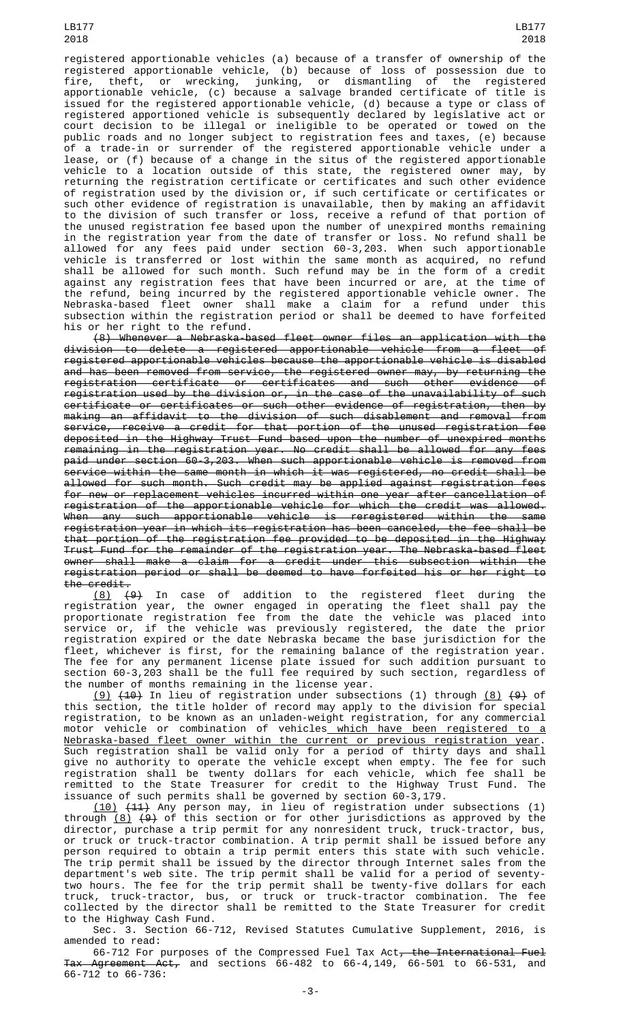LB177 2018

registered apportionable vehicles (a) because of a transfer of ownership of the registered apportionable vehicle, (b) because of loss of possession due to fire, theft, or wrecking, junking, or dismantling of the registered apportionable vehicle, (c) because a salvage branded certificate of title is issued for the registered apportionable vehicle, (d) because a type or class of registered apportioned vehicle is subsequently declared by legislative act or court decision to be illegal or ineligible to be operated or towed on the public roads and no longer subject to registration fees and taxes, (e) because of a trade-in or surrender of the registered apportionable vehicle under a lease, or (f) because of a change in the situs of the registered apportionable vehicle to a location outside of this state, the registered owner may, by returning the registration certificate or certificates and such other evidence of registration used by the division or, if such certificate or certificates or such other evidence of registration is unavailable, then by making an affidavit to the division of such transfer or loss, receive a refund of that portion of the unused registration fee based upon the number of unexpired months remaining in the registration year from the date of transfer or loss. No refund shall be allowed for any fees paid under section 60-3,203. When such apportionable vehicle is transferred or lost within the same month as acquired, no refund shall be allowed for such month. Such refund may be in the form of a credit against any registration fees that have been incurred or are, at the time of the refund, being incurred by the registered apportionable vehicle owner. The Nebraska-based fleet owner shall make a claim for a refund under this subsection within the registration period or shall be deemed to have forfeited his or her right to the refund.

(8) Whenever a Nebraska-based fleet owner files an application with the division to delete a registered apportionable vehicle from a fleet of registered apportionable vehicles because the apportionable vehicle is disabled and has been removed from service, the registered owner may, by returning the  $r$ egistration certificate or certificates and such other evidence registration used by the division or, in the case of the unavailability of such certificate or certificates or such other evidence of registration, then by making an affidavit to the division of such disablement and removal from service, receive a credit for that portion of the unused registration fee deposited in the Highway Trust Fund based upon the number of unexpired months remaining in the registration year. No credit shall be allowed for any fees paid under section 60-3,203. When such apportionable vehicle is removed from service within the same month in which it was registered, no credit shall be allowed for such month. Such credit may be applied against registration fees for new or replacement vehicles incurred within one year after cancellation of registration of the apportionable vehicle for which the credit was allowed. When any such apportionable vehicle is reregistered within the same registration year in which its registration has been canceled, the fee shall be that portion of the registration fee provided to be deposited in the Highway Trust Fund for the remainder of the registration year. The Nebraska-based fleet owner shall make a claim for a credit under this subsection within the registration period or shall be deemed to have forfeited his or her right to the credit.

(8) (9) In case of addition to the registered fleet during the registration year, the owner engaged in operating the fleet shall pay the proportionate registration fee from the date the vehicle was placed into service or, if the vehicle was previously registered, the date the prior registration expired or the date Nebraska became the base jurisdiction for the fleet, whichever is first, for the remaining balance of the registration year. The fee for any permanent license plate issued for such addition pursuant to section 60-3,203 shall be the full fee required by such section, regardless of the number of months remaining in the license year.

(9)  $(10)$  in lieu of registration under subsections (1) through  $(8)$   $(9)$  of this section, the title holder of record may apply to the division for special registration, to be known as an unladen-weight registration, for any commercial motor vehicle or combination of vehicles<u> which have been registered to a</u> Nebraska-based fleet owner within the current or previous registration year. Such registration shall be valid only for a period of thirty days and shall give no authority to operate the vehicle except when empty. The fee for such registration shall be twenty dollars for each vehicle, which fee shall be remitted to the State Treasurer for credit to the Highway Trust Fund. The issuance of such permits shall be governed by section 60-3,179.

(10) (11) Any person may, in lieu of registration under subsections (1) through  $(8)$   $(9)$  of this section or for other jurisdictions as approved by the director, purchase a trip permit for any nonresident truck, truck-tractor, bus, or truck or truck-tractor combination. A trip permit shall be issued before any person required to obtain a trip permit enters this state with such vehicle. The trip permit shall be issued by the director through Internet sales from the department's web site. The trip permit shall be valid for a period of seventytwo hours. The fee for the trip permit shall be twenty-five dollars for each truck, truck-tractor, bus, or truck or truck-tractor combination. The fee collected by the director shall be remitted to the State Treasurer for credit to the Highway Cash Fund.

Sec. 3. Section 66-712, Revised Statutes Cumulative Supplement, 2016, is amended to read:

66-712 For purposes of the Compressed Fuel Tax Act, the International Fuel Tax Agreement Act, and sections 66-482 to 66-4,149, 66-501 to 66-531, and 66-712 to 66-736: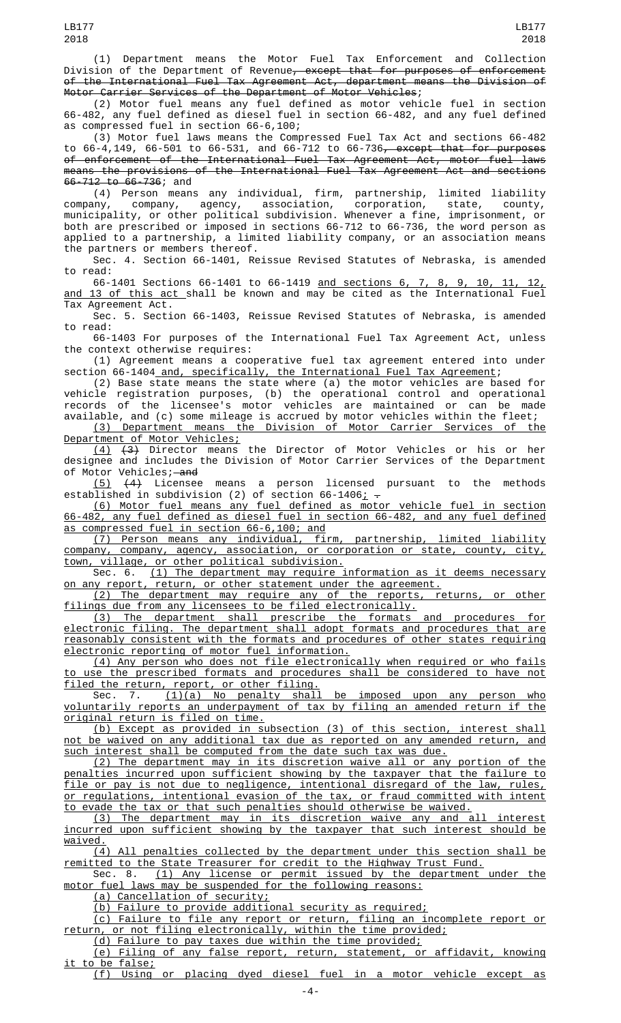(1) Department means the Motor Fuel Tax Enforcement and Collection Division of the Department of Revenue<del>, except that for purposes of enforcement</del> of the International Fuel Tax Agreement Act, department means the Division of Motor Carrier Services of the Department of Motor Vehicles;

(2) Motor fuel means any fuel defined as motor vehicle fuel in section 66-482, any fuel defined as diesel fuel in section 66-482, and any fuel defined as compressed fuel in section 66-6,100;

(3) Motor fuel laws means the Compressed Fuel Tax Act and sections 66-482 to 66-4,149, 66-501 to 66-531, and 66-712 to 66-736, except that for purposes of enforcement of the International Fuel Tax Agreement Act, motor fuel laws means the provisions of the International Fuel Tax Agreement Act and sections 66-712 to 66-736; and

(4) Person means any individual, firm, partnership, limited liability company, company, agency, association, corporation, state, county, municipality, or other political subdivision. Whenever a fine, imprisonment, or both are prescribed or imposed in sections 66-712 to 66-736, the word person as applied to a partnership, a limited liability company, or an association means the partners or members thereof.

Sec. 4. Section 66-1401, Reissue Revised Statutes of Nebraska, is amended to read:

66-1401 Sections 66-1401 to 66-1419 and sections 6, 7, 8, 9, 10, 11, 12, and 13 of this act shall be known and may be cited as the International Fuel Tax Agreement Act.

Sec. 5. Section 66-1403, Reissue Revised Statutes of Nebraska, is amended to read:

66-1403 For purposes of the International Fuel Tax Agreement Act, unless the context otherwise requires:

(1) Agreement means a cooperative fuel tax agreement entered into under section 66-1404 <u>and, specifically, the International Fuel Tax Agreement</u>;

(2) Base state means the state where (a) the motor vehicles are based for vehicle registration purposes, (b) the operational control and operational records of the licensee's motor vehicles are maintained or can be made available, and (c) some mileage is accrued by motor vehicles within the fleet; (3) Department means the Division of Motor Carrier Services of the

Department of Motor Vehicles; (4) (3) Director means the Director of Motor Vehicles or his or her designee and includes the Division of Motor Carrier Services of the Department of Motor Vehicles;—<del>and</del>

(5) (4) Licensee means a person licensed pursuant to the methods established in subdivision (2) of section 66-1406<u>;</u>  $\texttt{-}$ 

(6) Motor fuel means any fuel defined as motor vehicle fuel in section 66-482, any fuel defined as diesel fuel in section 66-482, and any fuel defined as compressed fuel in section 66-6,100; and

(7) Person means any individual, firm, partnership, limited liability company, company, agency, association, or corporation or state, county, city, town, village, or other political subdivision.

Sec. 6. (1) The department may require information as it deems necessary on any report, return, or other statement under the agreement.

(2) The department may require any of the reports, returns, or other filings due from any licensees to be filed electronically.

(3) The department shall prescribe the formats and procedures for electronic filing. The department shall adopt formats and procedures that are reasonably consistent with the formats and procedures of other states requiring electronic reporting of motor fuel information.

(4) Any person who does not file electronically when required or who fails to use the prescribed formats and procedures shall be considered to have not filed the return, report, or other filing.

Sec. 7. <u>(1)(a) No penalty shall be imposed upon any person who</u> voluntarily reports an underpayment of tax by filing an amended return if the original return is filed on time.

(b) Except as provided in subsection (3) of this section, interest shall not be waived on any additional tax due as reported on any amended return, and such interest shall be computed from the date such tax was due.

(2) The department may in its discretion waive all or any portion of the penalties incurred upon sufficient showing by the taxpayer that the failure to file or pay is not due to negligence, intentional disregard of the law, rules, or regulations, intentional evasion of the tax, or fraud committed with intent to evade the tax or that such penalties should otherwise be waived.

(3) The department may in its discretion waive any and all interest incurred upon sufficient showing by the taxpayer that such interest should be waived.

(4) All penalties collected by the department under this section shall be remitted to the State Treasurer for credit to the Highway Trust Fund.

Sec. 8. <u>(1) Any license or permit issued by the department under the</u> motor fuel laws may be suspended for the following reasons:

(a) Cancellation of security;

(b) Failure to provide additional security as required;

(c) Failure to file any report or return, filing an incomplete report or return, or not filing electronically, within the time provided;

(d) Failure to pay taxes due within the time provided;

(e) Filing of any false report, return, statement, or affidavit, knowing <u>it to be false;</u>

(f) Using or placing dyed diesel fuel in a motor vehicle except as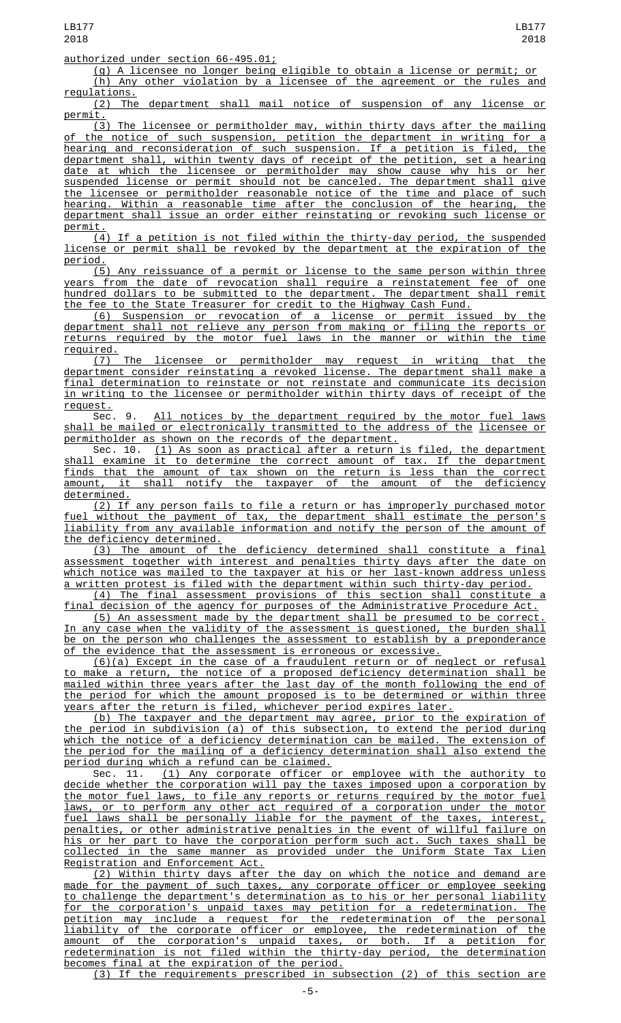(g) A licensee no longer being eligible to obtain a license or permit; or (h) Any other violation by a licensee of the agreement or the rules and regulations.

(2) The department shall mail notice of suspension of any license or permit.

(3) The licensee or permitholder may, within thirty days after the mailing of the notice of such suspension, petition the department in writing for a hearing and reconsideration of such suspension. If a petition is filed, the department shall, within twenty days of receipt of the petition, set a hearing date at which the licensee or permitholder may show cause why his or her suspended license or permit should not be canceled. The department shall give the licensee or permitholder reasonable notice of the time and place of such hearing. Within a reasonable time after the conclusion of the hearing, the department shall issue an order either reinstating or revoking such license or permit.

(4) If a petition is not filed within the thirty-day period, the suspended license or permit shall be revoked by the department at the expiration of the period.

(5) Any reissuance of a permit or license to the same person within three years from the date of revocation shall require a reinstatement fee of one hundred dollars to be submitted to the department. The department shall remit the fee to the State Treasurer for credit to the Highway Cash Fund.

(6) Suspension or revocation of a license or permit issued by the department shall not relieve any person from making or filing the reports or returns required by the motor fuel laws in the manner or within the time required.

(7) The licensee or permitholder may request in writing that the department consider reinstating a revoked license. The department shall make a final determination to reinstate or not reinstate and communicate its decision in writing to the licensee or permitholder within thirty days of receipt of the request.

Sec. 9. <u>All notices by the department required by the motor fuel laws</u> shall be mailed or electronically transmitted to the address of the licensee or permitholder as shown on the records of the department.

Sec. 10. (1) As soon as practical after a return is filed, the department shall examine it to determine the correct amount of tax. If the department finds that the amount of tax shown on the return is less than the correct amount, it shall notify the taxpayer of the amount of the deficiency determined.

(2) If any person fails to file a return or has improperly purchased motor fuel without the payment of tax, the department shall estimate the person's liability from any available information and notify the person of the amount the deficiency determined.

(3) The amount of the deficiency determined shall constitute a final assessment together with interest and penalties thirty days after the date on which notice was mailed to the taxpayer at his or her last-known address unless a written protest is filed with the department within such thirty-day period.

(4) The final assessment provisions of this section shall constitute a final decision of the agency for purposes of the Administrative Procedure Act.

(5) An assessment made by the department shall be presumed to be correct. In any case when the validity of the assessment is questioned, the burden shall be on the person who challenges the assessment to establish by a preponderance the evidence that the assessment is erroneous or excessive.

(6)(a) Except in the case of a fraudulent return or of neglect or refusal to make a return, the notice of a proposed deficiency determination shall be mailed within three years after the last day of the month following the end of the period for which the amount proposed is to be determined or within three years after the return is filed, whichever period expires later.

(b) The taxpayer and the department may agree, prior to the expiration of the period in subdivision (a) of this subsection, to extend the period during which the notice of a deficiency determination can be mailed. The extension of the period for the mailing of a deficiency determination shall also extend the period during which a refund can be claimed.

Sec. 11. <u>(1) Any corporate officer or employee with the authority to</u> decide whether the corporation will pay the taxes imposed upon a corporation by the motor fuel laws, to file any reports or returns required by the motor fuel <u>laws, or to perform any other act required of a corporation under the motor</u><br>fuel laws shall be personally liable for the payment of the taxes, interest, laws shall be personally liable for the payment of the taxes, interest, penalties, or other administrative penalties in the event of willful failure on his or her part to have the corporation perform such act. Such taxes shall be collected in the same manner as provided under the Uniform State Tax Lien Registration and Enforcement Act.

(2) Within thirty days after the day on which the notice and demand are made for the payment of such taxes, any corporate officer or employee seeking to challenge the department's determination as to his or her personal liability for the corporation's unpaid taxes may petition for a redetermination. The petition may include a request for the redetermination of the personal liability of the corporate officer or employee, the redetermination of the amount of the corporation's unpaid taxes, or both. If a petition for redetermination is not filed within the thirty-day period, the determination becomes final at the expiration of the period.

(3) If the requirements prescribed in subsection (2) of this section are